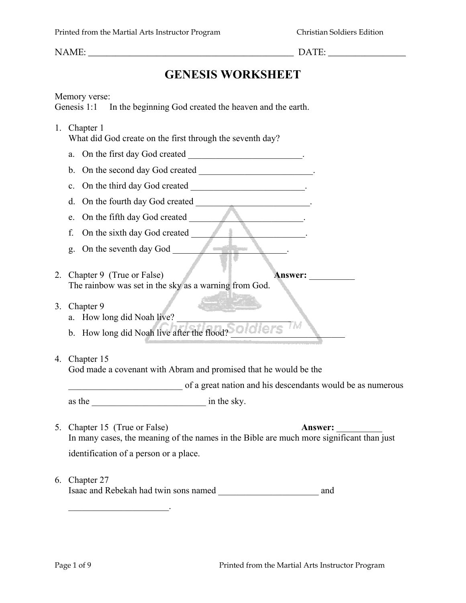NAME:  $\Box$ 

# **GENESIS WORKSHEET**

Memory verse:

Genesis 1:1 In the beginning God created the heaven and the earth.

1. Chapter 1 What did God create on the first through the seventh day? a. On the first day God created \_\_\_\_\_\_\_\_\_\_\_\_\_\_\_\_\_\_\_\_\_\_\_. b. On the second day God created \_\_\_\_\_\_\_\_\_\_\_\_\_\_\_\_\_\_\_\_\_\_\_\_. c. On the third day God created  $\qquad \qquad \qquad$ d. On the fourth day God created \_\_\_\_\_\_\_\_\_\_\_\_\_\_\_\_\_\_\_\_\_\_\_. e. On the fifth day God created f. On the sixth day God created  $\qquad$ g. On the seventh day God \_\_\_\_\_\_\_\_\_\_\_\_\_\_\_\_\_\_\_\_\_\_\_\_\_. 2. Chapter 9 (True or False) **Answer:** \_\_\_\_\_\_\_\_\_\_ The rainbow was set in the sky as a warning from God. 3. Chapter 9 a. How long did Noah live? b. How long did Noah live after the flood? 4. Chapter 15 God made a covenant with Abram and promised that he would be the

\_\_\_\_\_\_\_\_\_\_\_\_\_\_\_\_\_\_\_\_\_\_\_\_\_ of a great nation and his descendants would be as numerous

as the \_\_\_\_\_\_\_\_\_\_\_\_\_\_\_\_\_\_\_\_\_\_\_\_\_ in the sky.

- 5. Chapter 15 (True or False) **Answer:** In many cases, the meaning of the names in the Bible are much more significant than just identification of a person or a place.
- 6. Chapter 27

 $\mathcal{L}_\text{max}$  , we have the set of the set of the set of the set of the set of the set of the set of the set of the set of the set of the set of the set of the set of the set of the set of the set of the set of the set of

Isaac and Rebekah had twin sons named \_\_\_\_\_\_\_\_\_\_\_\_\_\_\_\_\_\_\_\_\_\_ and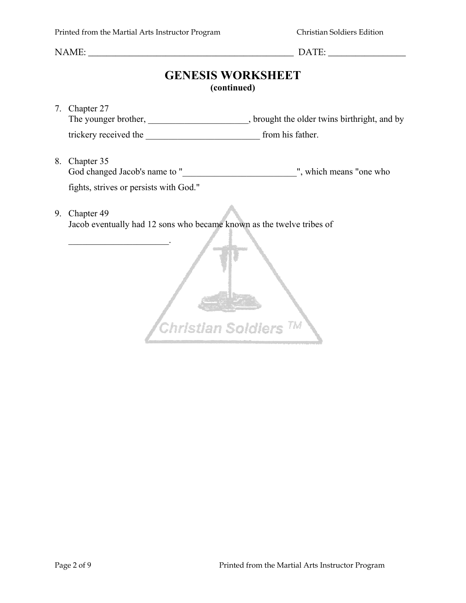NAME: \_\_\_\_\_\_\_\_\_\_\_\_\_\_\_\_\_\_\_\_\_\_\_\_\_\_\_\_\_\_\_\_\_\_\_\_\_\_\_\_\_\_\_\_\_ DATE: \_\_\_\_\_\_\_\_\_\_\_\_\_\_\_\_\_

## **GENESIS WORKSHEET (continued)**

7. Chapter 27 The younger brother, \_\_\_\_\_\_\_\_\_\_\_\_\_\_\_\_\_\_\_, brought the older twins birthright, and by trickery received the \_\_\_\_\_\_\_\_\_\_\_\_\_\_\_\_\_\_\_\_\_\_\_\_\_ from his father.

8. Chapter 35 God changed Jacob's name to "\_\_\_\_\_\_\_\_\_\_\_\_\_\_\_\_\_\_\_\_\_\_\_\_\_\_\_\_\_\_\_\_", which means "one who fights, strives or persists with God."

9. Chapter 49

Jacob eventually had 12 sons who became known as the twelve tribes of

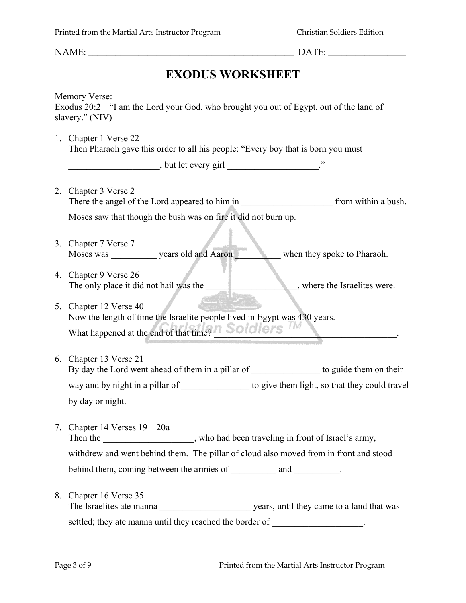| <b>EXODUS WORKSHEET</b> |                                                                                                                                  |  |  |  |  |  |  |  |
|-------------------------|----------------------------------------------------------------------------------------------------------------------------------|--|--|--|--|--|--|--|
|                         | <b>Memory Verse:</b><br>Exodus 20:2 "I am the Lord your God, who brought you out of Egypt, out of the land of<br>slavery." (NIV) |  |  |  |  |  |  |  |
|                         | 1. Chapter 1 Verse 22<br>Then Pharaoh gave this order to all his people: "Every boy that is born you must                        |  |  |  |  |  |  |  |
|                         |                                                                                                                                  |  |  |  |  |  |  |  |
|                         | 2. Chapter 3 Verse 2                                                                                                             |  |  |  |  |  |  |  |
|                         | Moses saw that though the bush was on fire it did not burn up.                                                                   |  |  |  |  |  |  |  |
|                         | 3. Chapter 7 Verse 7<br>Moses was ____________ years old and Aaron<br>when they spoke to Pharaoh.                                |  |  |  |  |  |  |  |
|                         | 4. Chapter 9 Verse 26<br>The only place it did not hail was the<br>where the Israelites were.                                    |  |  |  |  |  |  |  |
|                         | 5. Chapter 12 Verse 40<br>Now the length of time the Israelite people lived in Egypt was 430 years.                              |  |  |  |  |  |  |  |
|                         | What happened at the end of that time? Soldiers                                                                                  |  |  |  |  |  |  |  |
|                         | 6. Chapter 13 Verse 21<br>By day the Lord went ahead of them in a pillar of __________________ to guide them on their            |  |  |  |  |  |  |  |
|                         | by day or night.                                                                                                                 |  |  |  |  |  |  |  |
| 7.                      | Chapter 14 Verses $19 - 20a$<br>Then the ___________________, who had been traveling in front of Israel's army,                  |  |  |  |  |  |  |  |
|                         | withdrew and went behind them. The pillar of cloud also moved from in front and stood                                            |  |  |  |  |  |  |  |
|                         | behind them, coming between the armies of ____________ and __________.                                                           |  |  |  |  |  |  |  |
| 8.                      | Chapter 16 Verse 35                                                                                                              |  |  |  |  |  |  |  |
|                         | settled; they ate manna until they reached the border of                                                                         |  |  |  |  |  |  |  |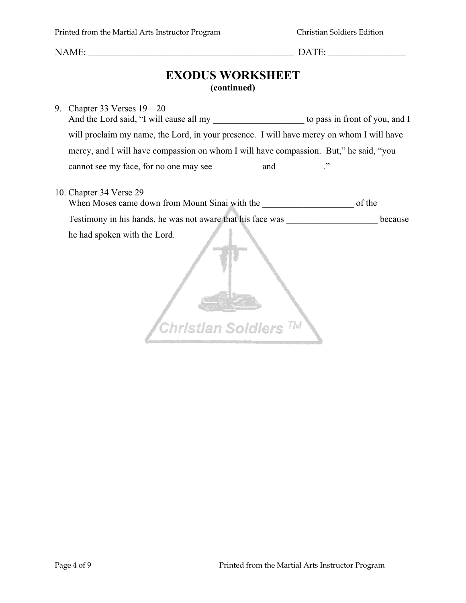NAME: \_\_\_\_\_\_\_\_\_\_\_\_\_\_\_\_\_\_\_\_\_\_\_\_\_\_\_\_\_\_\_\_\_\_\_\_\_\_\_\_\_\_\_\_\_ DATE: \_\_\_\_\_\_\_\_\_\_\_\_\_\_\_\_\_

## **EXODUS WORKSHEET (continued)**

9. Chapter 33 Verses 19 – 20 And the Lord said, "I will cause all my to pass in front of you, and I will proclaim my name, the Lord, in your presence. I will have mercy on whom I will have mercy, and I will have compassion on whom I will have compassion. But," he said, "you cannot see my face, for no one may see \_\_\_\_\_\_\_\_\_ and \_\_\_\_\_\_\_\_.

#### 10. Chapter 34 Verse 29

When Moses came down from Mount Sinai with the \_\_\_\_\_\_\_\_\_\_\_\_\_\_\_\_\_\_\_\_ of the Testimony in his hands, he was not aware that his face was \_\_\_\_\_\_\_\_\_\_\_\_\_\_\_\_\_\_\_\_ because he had spoken with the Lord.

Christian Soldiers<sup>TM</sup>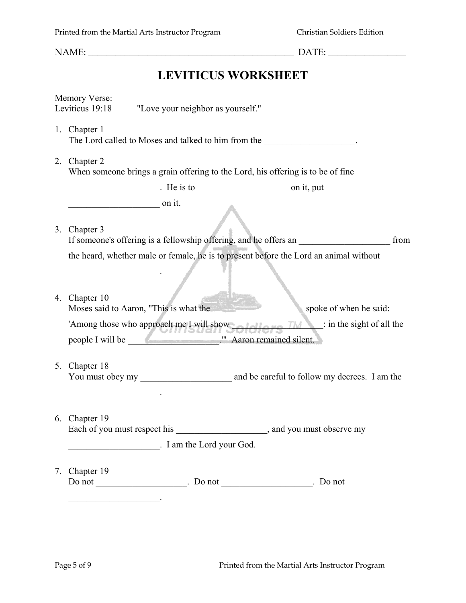NAME:  $\Box$ **LEVITICUS WORKSHEET** Memory Verse: Leviticus 19:18 "Love your neighbor as yourself." 1. Chapter 1 The Lord called to Moses and talked to him from the  $\blacksquare$ 2. Chapter 2 When someone brings a grain offering to the Lord, his offering is to be of fine \_\_\_\_\_\_\_\_\_\_\_\_\_\_\_\_\_\_\_\_. He is to \_\_\_\_\_\_\_\_\_\_\_\_\_\_\_\_\_\_\_\_ on it, put  $\frac{1}{\sqrt{1-\frac{1}{2}}}\qquad \text{on it.}$ 3. Chapter 3 If someone's offering is a fellowship offering, and he offers an  $\blacksquare$ the heard, whether male or female, he is to present before the Lord an animal without  $\mathcal{L}_\text{max}$  , we have the set of the set of the set of the set of the set of the set of the set of the set of the set of the set of the set of the set of the set of the set of the set of the set of the set of the set of 4. Chapter 10 Moses said to Aaron, "This is what the said: spoke of when he said: 'Among those who approach me I will show  $\overline{f}$  and  $\overline{f}$  in the sight of all the people I will be \_\_\_\_\_\_\_\_\_\_\_\_\_\_\_\_\_\_\_\_.'" Aaron remained silent. 5. Chapter 18 You must obey my and be careful to follow my decrees. I am the  $\mathcal{L}_\text{max}$  , we have the set of the set of the set of the set of the set of the set of the set of the set of the set of the set of the set of the set of the set of the set of the set of the set of the set of the set of 6. Chapter 19 Each of you must respect his \_\_\_\_\_\_\_\_\_\_\_\_\_\_\_\_\_\_\_\_\_, and you must observe my \_\_\_\_\_\_\_\_\_\_\_\_\_\_\_\_\_\_\_\_. I am the Lord your God. 7. Chapter 19 Do not \_\_\_\_\_\_\_\_\_\_\_\_\_\_\_\_\_\_\_. Do not \_\_\_\_\_\_\_\_\_\_\_\_\_\_\_\_. Do not  $\mathcal{L}_\text{max}$  , we have the set of the set of the set of the set of the set of the set of the set of the set of the set of the set of the set of the set of the set of the set of the set of the set of the set of the set of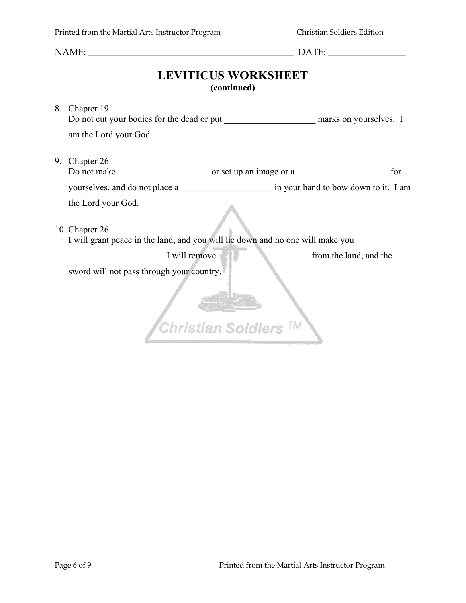NAME: \_\_\_\_\_\_\_\_\_\_\_\_\_\_\_\_\_\_\_\_\_\_\_\_\_\_\_\_\_\_\_\_\_\_\_\_\_\_\_\_\_\_\_\_\_ DATE: \_\_\_\_\_\_\_\_\_\_\_\_\_\_\_\_\_

# **LEVITICUS WORKSHEET (continued)**

|                                                                                                         | 8. Chapter 19                                                                  |  |  |  |  |  |  |
|---------------------------------------------------------------------------------------------------------|--------------------------------------------------------------------------------|--|--|--|--|--|--|
|                                                                                                         | Do not cut your bodies for the dead or put marks on yourselves. I              |  |  |  |  |  |  |
|                                                                                                         | am the Lord your God.                                                          |  |  |  |  |  |  |
| 9.                                                                                                      | Chapter 26                                                                     |  |  |  |  |  |  |
|                                                                                                         | for                                                                            |  |  |  |  |  |  |
|                                                                                                         | yourselves, and do not place a series in your hand to bow down to it. I am     |  |  |  |  |  |  |
|                                                                                                         | the Lord your God.                                                             |  |  |  |  |  |  |
|                                                                                                         |                                                                                |  |  |  |  |  |  |
|                                                                                                         | 10. Chapter 26                                                                 |  |  |  |  |  |  |
|                                                                                                         | I will grant peace in the land, and you will lie down and no one will make you |  |  |  |  |  |  |
| $\blacksquare$ I will remove<br><b>Example 15 September 15 September 16 September 16 September 2016</b> |                                                                                |  |  |  |  |  |  |
| sword will not pass through your country.                                                               |                                                                                |  |  |  |  |  |  |
|                                                                                                         |                                                                                |  |  |  |  |  |  |
|                                                                                                         |                                                                                |  |  |  |  |  |  |
|                                                                                                         | Christian Soldiers <sup>TM</sup>                                               |  |  |  |  |  |  |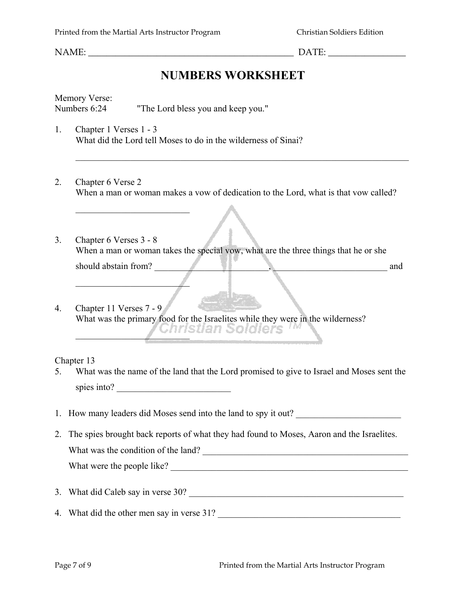\_\_\_\_\_\_\_\_\_\_\_\_\_\_\_\_\_\_\_\_\_\_\_\_\_

 $\mathcal{L}$ 

NAME:  $\Box$ 

## **NUMBERS WORKSHEET**

Memory Verse: Numbers 6:24 "The Lord bless you and keep you."

- 1. Chapter 1 Verses 1 3 What did the Lord tell Moses to do in the wilderness of Sinai?
- 2. Chapter 6 Verse 2 When a man or woman makes a vow of dedication to the Lord, what is that vow called?

 $\_$  , and the contribution of the contribution of  $\mathcal{L}_\mathcal{A}$  , and the contribution of  $\mathcal{L}_\mathcal{A}$ 

- 3. Chapter 6 Verses 3 8 When a man or woman takes the special vow, what are the three things that he or she should abstain from? \_\_\_\_\_\_\_\_\_\_\_\_\_\_\_\_\_\_\_\_\_\_\_\_\_, \_\_\_\_\_\_\_\_\_\_\_\_\_\_\_\_\_\_\_\_\_\_\_\_\_ and
- 4. Chapter 11 Verses 7 9 What was the primary food for the Israelites while they were in the wilderness? \_\_\_\_\_\_\_\_\_\_\_\_\_\_\_\_\_\_\_\_\_\_\_\_\_

Chapter 13

- 5. What was the name of the land that the Lord promised to give to Israel and Moses sent the spies into?
- 1. How many leaders did Moses send into the land to spy it out?
- 2. The spies brought back reports of what they had found to Moses, Aaron and the Israelites. What was the condition of the land? What were the people like?
- 3. What did Caleb say in verse 30?
- 4. What did the other men say in verse 31? \_\_\_\_\_\_\_\_\_\_\_\_\_\_\_\_\_\_\_\_\_\_\_\_\_\_\_\_\_\_\_\_\_\_\_\_\_\_\_\_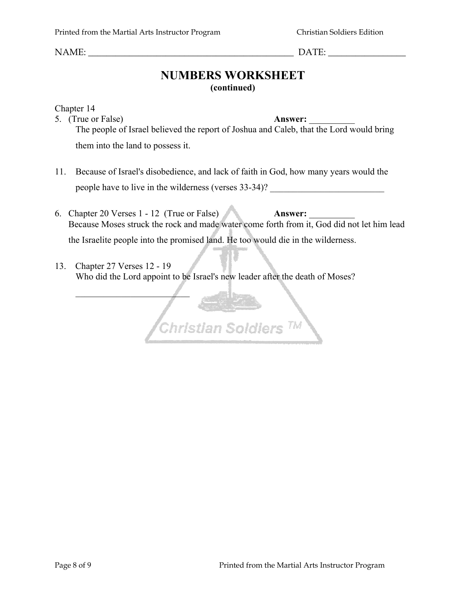$\mathcal{L}$ 

NAME: \_\_\_\_\_\_\_\_\_\_\_\_\_\_\_\_\_\_\_\_\_\_\_\_\_\_\_\_\_\_\_\_\_\_\_\_\_\_\_\_\_\_\_\_\_ DATE: \_\_\_\_\_\_\_\_\_\_\_\_\_\_\_\_\_

## **NUMBERS WORKSHEET (continued)**

Chapter 14

- 5. (True or False) **Answer:**  $\blacksquare$ The people of Israel believed the report of Joshua and Caleb, that the Lord would bring them into the land to possess it.
- 11. Because of Israel's disobedience, and lack of faith in God, how many years would the people have to live in the wilderness (verses 33-34)?
- 6. Chapter 20 Verses 1 12 (True or False) **Answer:** \_\_\_\_\_\_\_\_\_\_ Because Moses struck the rock and made water come forth from it, God did not let him lead the Israelite people into the promised land. He too would die in the wilderness.

Christian Soldiers<sup>TM</sup>

13. Chapter 27 Verses 12 - 19 Who did the Lord appoint to be Israel's new leader after the death of Moses?